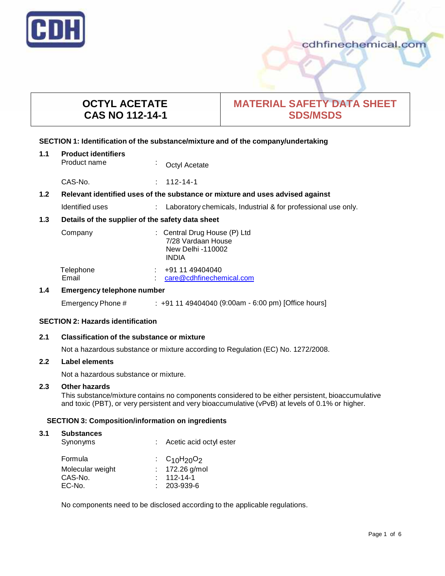

# cdhfinechemical.com

# **OCTYL ACETATE CAS NO 112-14-1**

# **MATERIAL SAFETY DATA SHEET SDS/MSDS**

# **SECTION 1: Identification of the substance/mixture and of the company/undertaking**

| 1.1 | <b>Product identifiers</b> |                |  |
|-----|----------------------------|----------------|--|
|     | Product name               | Coctyl Acetate |  |

CAS-No. : 112-14-1

# **1.2 Relevant identified uses of the substance ormixture and uses advised against**

Identified uses : Laboratory chemicals, Industrial & for professional use only.

# **1.3 Details of the supplier of the safety data sheet**

| Company            | : Central Drug House (P) Ltd<br>7/28 Vardaan House |  |  |
|--------------------|----------------------------------------------------|--|--|
|                    | New Delhi -110002<br><b>INDIA</b>                  |  |  |
| Telephone<br>Email | +91 11 49404040<br>care@cdhfinechemical.com        |  |  |

# **1.4 Emergency telephone number**

Emergency Phone # : +91 11 49404040 (9:00am - 6:00 pm) [Office hours]

# **SECTION 2: Hazards identification**

# **2.1 Classification of the substance ormixture**

Not a hazardous substance or mixture according to Regulation (EC) No. 1272/2008.

## **2.2 Label elements**

Not a hazardous substance or mixture.

#### **2.3 Other hazards**

This substance/mixture contains no components considered to be either persistent, bioaccumulative and toxic (PBT), or very persistent and very bioaccumulative (vPvB) at levels of 0.1% or higher.

# **SECTION 3: Composition/information on ingredients**

#### **3.1 Substances**

| Synonyms         | : Acetic acid octyl ester |
|------------------|---------------------------|
| Formula          | : $C_{10}H_{20}O_2$       |
| Molecular weight | : $172.26$ g/mol          |
| CAS-No.          | $: 112 - 14 - 1$          |
| EC-No.           | $: 203 - 939 - 6$         |

No components need to be disclosed according to the applicable regulations.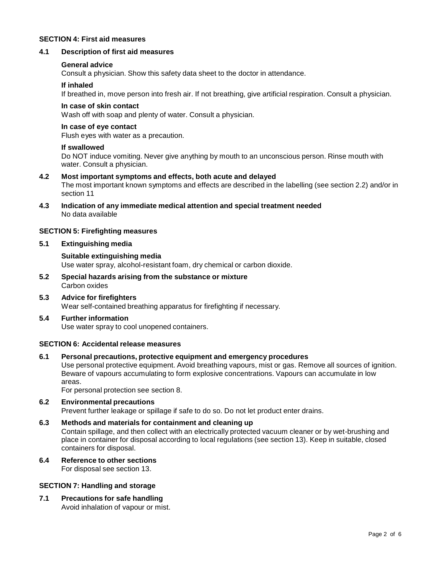#### **SECTION 4: First aid measures**

#### **4.1 Description of first aid measures**

#### **General advice**

Consult a physician. Show this safety data sheet to the doctor in attendance.

#### **If inhaled**

If breathed in, move person into fresh air. If not breathing, give artificial respiration. Consult a physician.

#### **In case of skin contact**

Wash off with soap and plenty of water. Consult a physician.

#### **In case of eye contact**

Flush eyes with water as a precaution.

#### **If swallowed**

Do NOT induce vomiting. Never give anything by mouth to an unconscious person. Rinse mouth with water. Consult a physician.

- **4.2 Most important symptoms and effects, both acute and delayed** The most important known symptoms and effects are described in the labelling (see section 2.2) and/or in section 11
- **4.3 Indication of any immediate medical attention and special treatment needed** No data available

#### **SECTION 5: Firefighting measures**

#### **5.1 Extinguishing media**

**Suitable extinguishing media** Use water spray, alcohol-resistant foam, dry chemical or carbon dioxide.

- **5.2 Special hazards arising from the substance ormixture** Carbon oxides
- **5.3 Advice for firefighters** Wear self-contained breathing apparatus for firefighting if necessary.

#### **5.4 Further information**

Use water spray to cool unopened containers.

#### **SECTION 6: Accidental release measures**

#### **6.1 Personal precautions, protective equipment and emergency procedures**

Use personal protective equipment. Avoid breathing vapours, mist or gas. Remove all sources of ignition. Beware of vapours accumulating to form explosive concentrations. Vapours can accumulate in low areas.

For personal protection see section 8.

#### **6.2 Environmental precautions**

Prevent further leakage or spillage if safe to do so. Do not let product enter drains.

- **6.3 Methods and materials for containment and cleaning up** Contain spillage, and then collect with an electrically protected vacuum cleaner or by wet-brushing and place in container for disposal according to local regulations (see section 13). Keep in suitable, closed containers for disposal.
- **6.4 Reference to other sections**

For disposal see section 13.

#### **SECTION 7: Handling and storage**

**7.1 Precautions for safe handling** Avoid inhalation of vapour or mist.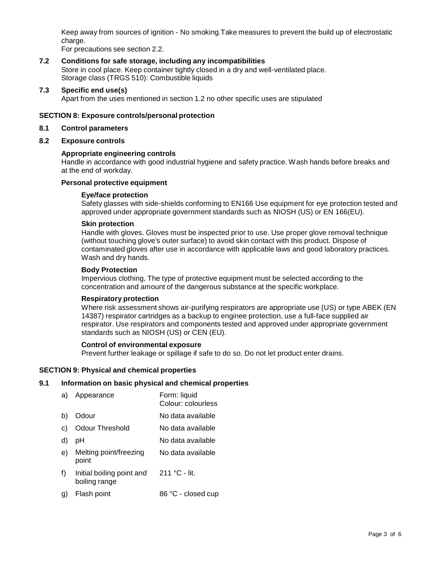Keep away from sources of ignition - No smoking.Take measures to prevent the build up of electrostatic charge.

For precautions see section 2.2.

# **7.2 Conditions for safe storage, including any incompatibilities** Store in cool place. Keep container tightly closed in a dry and well-ventilated place.

Storage class (TRGS 510): Combustible liquids

# **7.3 Specific end use(s)**

Apart from the uses mentioned in section 1.2 no other specific uses are stipulated

# **SECTION 8: Exposure controls/personal protection**

#### **8.1 Control parameters**

**8.2 Exposure controls**

#### **Appropriate engineering controls**

Handle in accordance with good industrial hygiene and safety practice. Wash hands before breaks and at the end of workday.

# **Personal protective equipment**

#### **Eye/face protection**

Safety glasses with side-shields conforming to EN166 Use equipment for eye protection tested and approved under appropriate government standards such as NIOSH (US) or EN 166(EU).

#### **Skin protection**

Handle with gloves. Gloves must be inspected prior to use. Use proper glove removal technique (without touching glove's outer surface) to avoid skin contact with this product. Dispose of contaminated gloves after use in accordance with applicable laws and good laboratory practices. Wash and dry hands.

#### **Body Protection**

Impervious clothing, The type of protective equipment must be selected according to the concentration and amount of the dangerous substance at the specific workplace.

#### **Respiratory protection**

Where risk assessment shows air-purifying respirators are appropriate use (US) or type ABEK (EN 14387) respirator cartridges as a backup to enginee protection, use a full-face supplied air respirator. Use respirators and components tested and approved under appropriate government standards such as NIOSH (US) or CEN (EU).

#### **Control of environmental exposure**

Prevent further leakage or spillage if safe to do so. Do not let product enter drains.

# **SECTION 9: Physical and chemical properties**

#### **9.1 Information on basic physical and chemical properties**

| a) | Appearance                                 | Form: liquid<br>Colour: colourless |
|----|--------------------------------------------|------------------------------------|
| b) | Odour                                      | No data available                  |
| C) | <b>Odour Threshold</b>                     | No data available                  |
| d) | рH                                         | No data available                  |
| e) | Melting point/freezing<br>point            | No data available                  |
| f) | Initial boiling point and<br>boiling range | 211 °C - lit.                      |
| g) | Flash point                                | 86 °C - closed cup                 |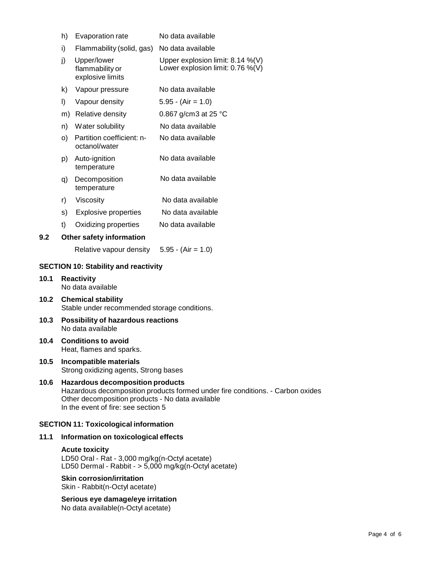|                                             | h)                                     | Evaporation rate                                   | No data available                                                       |
|---------------------------------------------|----------------------------------------|----------------------------------------------------|-------------------------------------------------------------------------|
|                                             | i)                                     | Flammability (solid, gas) No data available        |                                                                         |
|                                             | j)                                     | Upper/lower<br>flammability or<br>explosive limits | Upper explosion limit: $8.14\%$ (V)<br>Lower explosion limit: 0.76 %(V) |
|                                             | k)                                     | Vapour pressure                                    | No data available                                                       |
|                                             | I)                                     | Vapour density                                     | $5.95 - (Air = 1.0)$                                                    |
|                                             | m)                                     | Relative density                                   | 0.867 g/cm3 at 25 $^{\circ}$ C                                          |
|                                             | n)                                     | Water solubility                                   | No data available                                                       |
|                                             | O)                                     | Partition coefficient: n-<br>octanol/water         | No data available                                                       |
|                                             | p)                                     | Auto-ignition<br>temperature                       | No data available                                                       |
|                                             | q)                                     | Decomposition<br>temperature                       | No data available                                                       |
|                                             | r)                                     | Viscosity                                          | No data available                                                       |
|                                             | s)                                     | <b>Explosive properties</b>                        | No data available                                                       |
|                                             | t)                                     | Oxidizing properties                               | No data available                                                       |
| 9.2                                         | Other safety information               |                                                    |                                                                         |
|                                             |                                        | Relative vapour density                            | $5.95 - (Air = 1.0)$                                                    |
| <b>SECTION 10: Stability and reactivity</b> |                                        |                                                    |                                                                         |
| 10.1                                        | <b>Reactivity</b><br>No data available |                                                    |                                                                         |

- **10.2 Chemical stability** Stable under recommended storage conditions.
- **10.3 Possibility of hazardous reactions** No data available
- **10.4 Conditions to avoid** Heat, flames and sparks.

**10.1 Reactivity**

**10.5 Incompatible materials** Strong oxidizing agents, Strong bases

# **10.6 Hazardous decomposition products**

Hazardous decomposition products formed under fire conditions. - Carbon oxides Other decomposition products - No data available In the event of fire: see section 5

# **SECTION 11: Toxicological information**

# **11.1 Information on toxicological effects**

# **Acute toxicity**

LD50 Oral - Rat - 3,000 mg/kg(n-Octyl acetate) LD50 Dermal - Rabbit - > 5,000 mg/kg(n-Octyl acetate)

# **Skin corrosion/irritation**

Skin - Rabbit(n-Octyl acetate)

**Serious eye damage/eye irritation** No data available(n-Octyl acetate)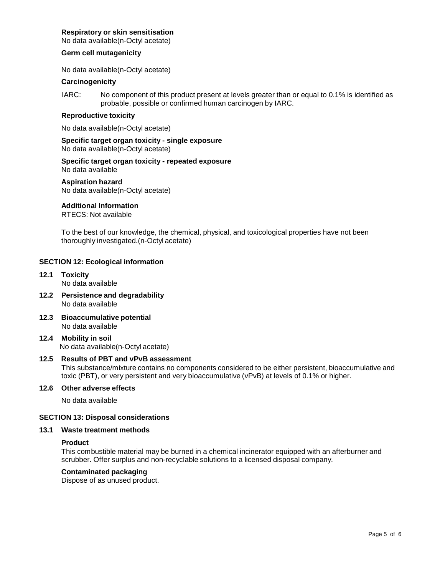#### **Respiratory orskin sensitisation**

No data available(n-Octyl acetate)

#### **Germ cell mutagenicity**

No data available(n-Octyl acetate)

# **Carcinogenicity**

IARC: No component of this product present at levels greater than or equal to 0.1% is identified as probable, possible or confirmed human carcinogen by IARC.

#### **Reproductive toxicity**

No data available(n-Octyl acetate)

**Specific target organ toxicity - single exposure** No data available(n-Octyl acetate)

#### **Specific target organ toxicity - repeated exposure** No data available

**Aspiration hazard** No data available(n-Octyl acetate)

#### **Additional Information**

RTECS: Not available

To the best of our knowledge, the chemical, physical, and toxicological properties have not been thoroughly investigated.(n-Octyl acetate)

#### **SECTION 12: Ecological information**

- **12.1 Toxicity** No data available
- **12.2 Persistence and degradability** No data available
- **12.3 Bioaccumulative potential** No data available
- **12.4 Mobility in soil** No data available(n-Octyl acetate)

# **12.5 Results of PBT and vPvB assessment**

This substance/mixture contains no components considered to be either persistent, bioaccumulative and toxic (PBT), or very persistent and very bioaccumulative (vPvB) at levels of 0.1% or higher.

#### **12.6 Other adverse effects**

No data available

#### **SECTION 13: Disposal considerations**

#### **13.1 Waste treatment methods**

#### **Product**

This combustible material may be burned in a chemical incinerator equipped with an afterburner and scrubber. Offer surplus and non-recyclable solutions to a licensed disposal company.

#### **Contaminated packaging**

Dispose of as unused product.